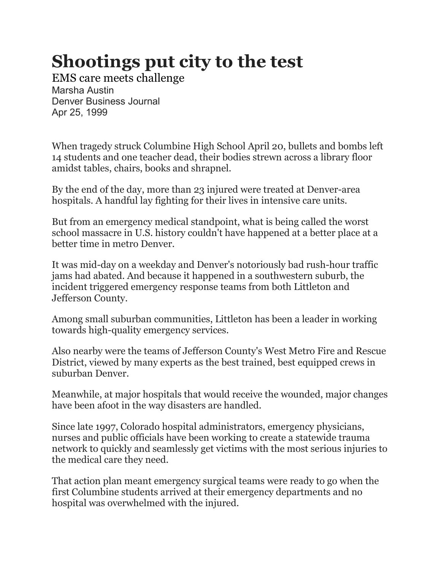## **Shootings put city to the test**

EMS care meets challenge Marsha Austin Denver Business Journal Apr 25, 1999

When tragedy struck Columbine High School April 20, bullets and bombs left 14 students and one teacher dead, their bodies strewn across a library floor amidst tables, chairs, books and shrapnel.

By the end of the day, more than 23 injured were treated at Denver-area hospitals. A handful lay fighting for their lives in intensive care units.

But from an emergency medical standpoint, what is being called the worst school massacre in U.S. history couldn't have happened at a better place at a better time in metro Denver.

It was mid-day on a weekday and Denver's notoriously bad rush-hour traffic jams had abated. And because it happened in a southwestern suburb, the incident triggered emergency response teams from both Littleton and Jefferson County.

Among small suburban communities, Littleton has been a leader in working towards high-quality emergency services.

Also nearby were the teams of Jefferson County's West Metro Fire and Rescue District, viewed by many experts as the best trained, best equipped crews in suburban Denver.

Meanwhile, at major hospitals that would receive the wounded, major changes have been afoot in the way disasters are handled.

Since late 1997, Colorado hospital administrators, emergency physicians, nurses and public officials have been working to create a statewide trauma network to quickly and seamlessly get victims with the most serious injuries to the medical care they need.

That action plan meant emergency surgical teams were ready to go when the first Columbine students arrived at their emergency departments and no hospital was overwhelmed with the injured.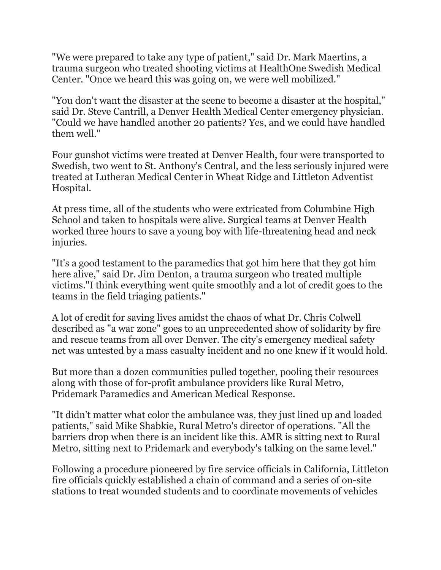"We were prepared to take any type of patient," said Dr. Mark Maertins, a trauma surgeon who treated shooting victims at HealthOne Swedish Medical Center. "Once we heard this was going on, we were well mobilized."

"You don't want the disaster at the scene to become a disaster at the hospital," said Dr. Steve Cantrill, a Denver Health Medical Center emergency physician. "Could we have handled another 20 patients? Yes, and we could have handled them well."

Four gunshot victims were treated at Denver Health, four were transported to Swedish, two went to St. Anthony's Central, and the less seriously injured were treated at Lutheran Medical Center in Wheat Ridge and Littleton Adventist Hospital.

At press time, all of the students who were extricated from Columbine High School and taken to hospitals were alive. Surgical teams at Denver Health worked three hours to save a young boy with life-threatening head and neck injuries.

"It's a good testament to the paramedics that got him here that they got him here alive," said Dr. Jim Denton, a trauma surgeon who treated multiple victims."I think everything went quite smoothly and a lot of credit goes to the teams in the field triaging patients."

A lot of credit for saving lives amidst the chaos of what Dr. Chris Colwell described as "a war zone" goes to an unprecedented show of solidarity by fire and rescue teams from all over Denver. The city's emergency medical safety net was untested by a mass casualty incident and no one knew if it would hold.

But more than a dozen communities pulled together, pooling their resources along with those of for-profit ambulance providers like Rural Metro, Pridemark Paramedics and American Medical Response.

"It didn't matter what color the ambulance was, they just lined up and loaded patients," said Mike Shabkie, Rural Metro's director of operations. "All the barriers drop when there is an incident like this. AMR is sitting next to Rural Metro, sitting next to Pridemark and everybody's talking on the same level."

Following a procedure pioneered by fire service officials in California, Littleton fire officials quickly established a chain of command and a series of on-site stations to treat wounded students and to coordinate movements of vehicles